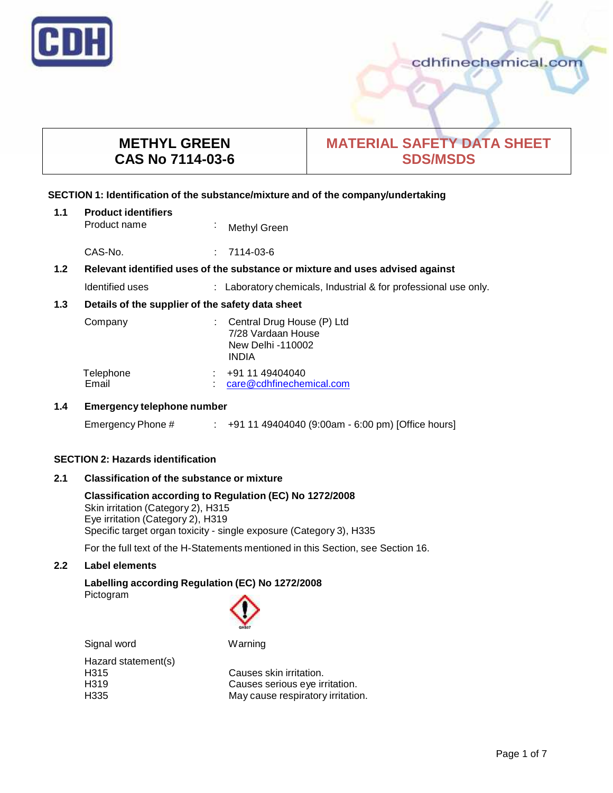

cdhfinechemical.com

# **METHYL GREEN CAS No 7114-03-6**

# **MATERIAL SAFETY DATA SHEET SDS/MSDS**

# **SECTION 1: Identification of the substance/mixture and of the company/undertaking**

| 1.1 | <b>Product identifiers</b><br>Product name                                    | $\mathbf{r}$ | Methyl Green                                                                          |
|-----|-------------------------------------------------------------------------------|--------------|---------------------------------------------------------------------------------------|
|     | CAS-No.                                                                       |              | 7114-03-6                                                                             |
| 1.2 | Relevant identified uses of the substance or mixture and uses advised against |              |                                                                                       |
|     | Identified uses                                                               |              | : Laboratory chemicals, Industrial & for professional use only.                       |
| 1.3 | Details of the supplier of the safety data sheet                              |              |                                                                                       |
|     | Company                                                                       |              | Central Drug House (P) Ltd<br>7/28 Vardaan House<br>New Delhi -110002<br><b>INDIA</b> |
|     | Tolophono                                                                     |              | . 04 11 10101010                                                                      |

| Telephone | +91 11 49404040          |
|-----------|--------------------------|
| Email     | care@cdhfinechemical.com |

# **1.4 Emergency telephone number**

Emergency Phone # : +91 11 49404040 (9:00am - 6:00 pm) [Office hours]

# **SECTION 2: Hazards identification**

**2.1 Classification of the substance ormixture**

**Classification according to Regulation (EC) No 1272/2008** Skin irritation (Category 2), H315 Eye irritation (Category 2), H319 Specific target organ toxicity - single exposure (Category 3), H335

For the full text of the H-Statements mentioned in this Section, see Section 16.

# **2.2 Label elements**

# **Labelling according Regulation (EC) No 1272/2008** Pictogram



Signal word Warning Hazard statement(s)<br>H315

Causes skin irritation. H319 **Causes serious eye irritation.**<br>H335 **Cause Fespiratory irritation.** May cause respiratory irritation.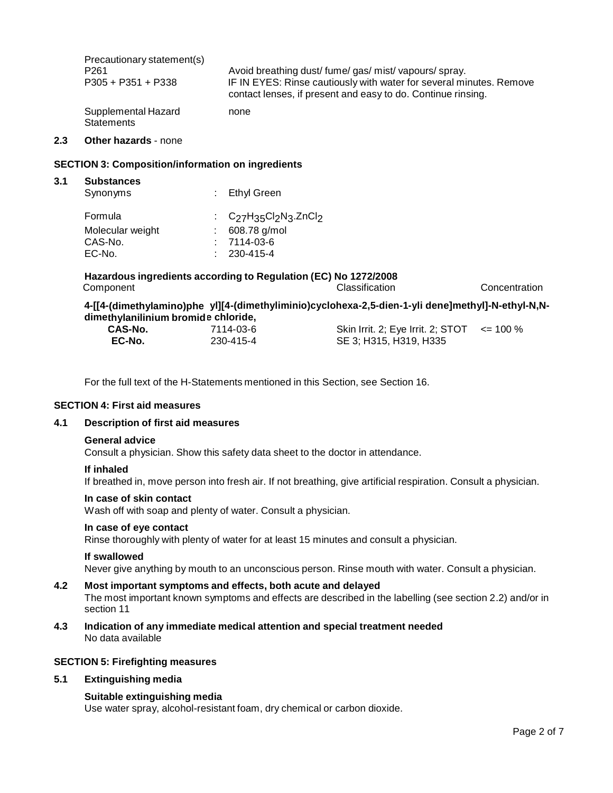| Precautionary statement(s)               | Avoid breathing dust/fume/gas/mist/vapours/spray.                   |
|------------------------------------------|---------------------------------------------------------------------|
| P <sub>261</sub>                         | IF IN EYES: Rinse cautiously with water for several minutes. Remove |
| $P305 + P351 + P338$                     | contact lenses, if present and easy to do. Continue rinsing.        |
| Supplemental Hazard<br><b>Statements</b> | none                                                                |

## **2.3 Other hazards** - none

## **SECTION 3: Composition/information on ingredients**

| 3.1 | <b>Substances</b> |                                |  |
|-----|-------------------|--------------------------------|--|
|     | Synonyms          | Ethyl Green                    |  |
|     | Formula           | : $C_{27}H_{35}Cl_2N_3.ZnCl_2$ |  |
|     | Molecular weight  | 608.78 g/mol                   |  |
|     | CAS-No.           | 7114-03-6                      |  |
|     | EC-No.            | 230-415-4                      |  |

**4-[[4- (dimethylamino)phe yl][4-(dimethyliminio)cyclohexa-2,5-dien-1-yli dene]methyl]-N-ethyl-N,N dime thylanilinium bromid e chloride,**

| <b>CAS-No.</b> | 7114-03-6 | Skin Irrit. 2; Eye Irrit. 2; STOT $\leq$ = 100 % |  |
|----------------|-----------|--------------------------------------------------|--|
| EC-No.         | 230-415-4 | SE 3; H315, H319, H335                           |  |

For the full text of the H-Statements mentioned in this Section, see Section 16.

## **SECTION 4: First aid measures**

## **4.1 Description of first aid measures**

## **General advice**

Consult a physician. Show this safety data sheet to the doctor in attendance.

## **If inhaled**

If breathed in, move person into fresh air. If not breathing, give artificial respiration. Consult a physician.

## **In case of skin contact**

Wash off with soap and plenty of water. Consult a physician.

# **In case of eye contact**

Rinse thoroughly with plenty of water for at least 15 minutes and consult a physician.

## **If swallowed**

Never give anything by mouth to an unconscious person. Rinse mouth with water. Consult a physician.

## **4.2 Most important symptoms and effects, both acute and delayed**

The most important known symptoms and effects are described in the labelling (see section 2.2) and/or in section 11

**4.3 Indication of any immediate medical attention and special treatment needed** No data available

## **SECTION 5: Firefighting measures**

# **5.1 Extinguishing media**

# **Suitable extinguishing media**

Use water spray, alcohol-resistant foam, dry chemical or carbon dioxide.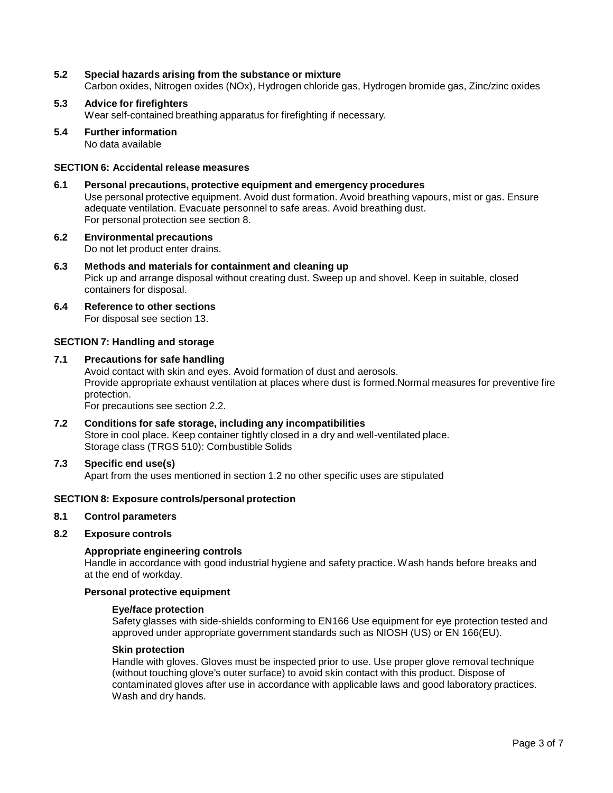# **5.2 Special hazards arising from the substance ormixture**

Carbon oxides, Nitrogen oxides (NOx), Hydrogen chloride gas, Hydrogen bromide gas, Zinc/zinc oxides

# **5.3 Advice for firefighters**

Wear self-contained breathing apparatus for firefighting if necessary.

**5.4 Further information**

No data available

# **SECTION 6: Accidental release measures**

- **6.1 Personal precautions, protective equipment and emergency procedures** Use personal protective equipment. Avoid dust formation. Avoid breathing vapours, mist or gas. Ensure adequate ventilation. Evacuate personnel to safe areas. Avoid breathing dust. For personal protection see section 8.
- **6.2 Environmental precautions** Do not let product enter drains.
- **6.3 Methods and materials for containment and cleaning up** Pick up and arrange disposal without creating dust. Sweep up and shovel. Keep in suitable, closed containers for disposal.
- **6.4 Reference to other sections** For disposal see section 13.

# **SECTION 7: Handling and storage**

**7.1 Precautions for safe handling** Avoid contact with skin and eyes. Avoid formation of dust and aerosols. Provide appropriate exhaust ventilation at places where dust is formed.Normal measures for preventive fire protection.

For precautions see section 2.2.

- **7.2 Conditions for safe storage, including any incompatibilities** Store in cool place. Keep container tightly closed in a dry and well-ventilated place. Storage class (TRGS 510): Combustible Solids
- **7.3 Specific end use(s)**

Apart from the uses mentioned in section 1.2 no other specific uses are stipulated

# **SECTION 8: Exposure controls/personal protection**

## **8.1 Control parameters**

## **8.2 Exposure controls**

# **Appropriate engineering controls**

Handle in accordance with good industrial hygiene and safety practice. Wash hands before breaks and at the end of workday.

## **Personal protective equipment**

## **Eye/face protection**

Safety glasses with side-shields conforming to EN166 Use equipment for eye protection tested and approved under appropriate government standards such as NIOSH (US) or EN 166(EU).

## **Skin protection**

Handle with gloves. Gloves must be inspected prior to use. Use proper glove removal technique (without touching glove's outer surface) to avoid skin contact with this product. Dispose of contaminated gloves after use in accordance with applicable laws and good laboratory practices. Wash and dry hands.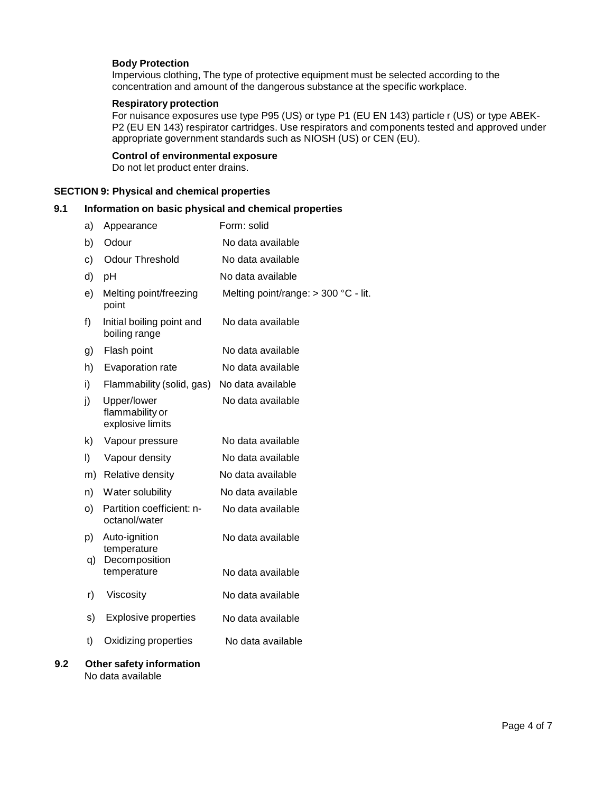## **Body Protection**

Impervious clothing, The type of protective equipment must be selected according to the concentration and amount of the dangerous substance at the specific workplace.

## **Respiratory protection**

For nuisance exposures use type P95 (US) or type P1 (EU EN 143) particle r (US) or type ABEK- P2 (EU EN 143) respirator cartridges. Use respirators and components tested and approved under appropriate government standards such as NIOSH (US) or CEN (EU).

#### **Control of environmental exposure**

Do not let product enter drains.

## **SECTION 9: Physical and chemical properties**

# **9.1 Information on basic physical and chemical properties**

| a) | Appearance                                         | Form: solid                          |
|----|----------------------------------------------------|--------------------------------------|
| b) | Odour                                              | No data available                    |
| c) | <b>Odour Threshold</b>                             | No data available                    |
| d) | pH                                                 | No data available                    |
| e) | Melting point/freezing<br>point                    | Melting point/range: > 300 °C - lit. |
| f) | Initial boiling point and<br>boiling range         | No data available                    |
| g) | Flash point                                        | No data available                    |
| h) | Evaporation rate                                   | No data available                    |
| i) | Flammability (solid, gas)                          | No data available                    |
| j) | Upper/lower<br>flammability or<br>explosive limits | No data available                    |
| k) | Vapour pressure                                    | No data available                    |
| I) | Vapour density                                     | No data available                    |
| m) | Relative density                                   | No data available                    |
| n) | Water solubility                                   | No data available                    |
| O) | Partition coefficient: n-<br>octanol/water         | No data available                    |
| p) | Auto-ignition<br>temperature                       | No data available                    |
| q) | Decomposition<br>temperature                       | No data available                    |
| r) | Viscosity                                          | No data available                    |
| s) | <b>Explosive properties</b>                        | No data available                    |
| t) | Oxidizing properties                               | No data available                    |
|    |                                                    |                                      |

## **9.2 Other safety information** No data available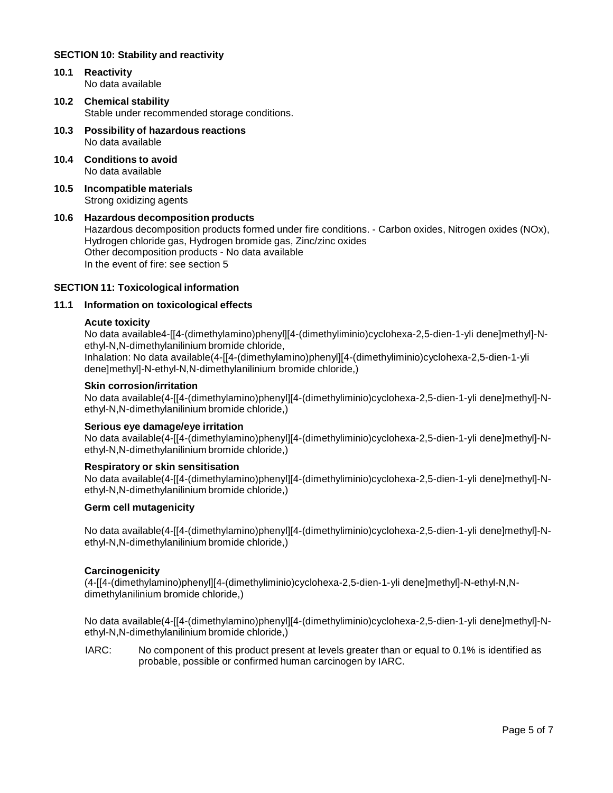# **SECTION 10: Stability and reactivity**

- **10.1 Reactivity** No data available
- **10.2 Chemical stability** Stable under recommended storage conditions.
- **10.3 Possibility of hazardous reactions** No data available
- **10.4 Conditions to avoid** No data available
- **10.5 Incompatible materials** Strong oxidizing agents

# **10.6 Hazardous decomposition products**

Hazardous decomposition products formed under fire conditions. - Carbon oxides, Nitrogen oxides (NOx), Hydrogen chloride gas, Hydrogen bromide gas, Zinc/zinc oxides Other decomposition products - No data available In the event of fire: see section 5

# **SECTION 11: Toxicological information**

# **11.1 Information on toxicological effects**

## **Acute toxicity**

No data available4-[[4-(dimethylamino)phenyl][4-(dimethyliminio)cyclohexa-2,5-dien-1-yli dene]methyl]-N ethyl-N,N-dimethylanilinium bromide chloride,

Inhalation: No data available(4-[[4-(dimethylamino)phenyl][4-(dimethyliminio)cyclohexa-2,5-dien-1-yli dene]methyl]-N-ethyl-N,N-dimethylanilinium bromide chloride,)

## **Skin corrosion/irritation**

No data available(4-[[4-(dimethylamino)phenyl][4-(dimethyliminio)cyclohexa-2,5-dien-1-yli dene]methyl]-N ethyl-N,N-dimethylanilinium bromide chloride,)

## **Serious eye damage/eye irritation**

No data available(4-[[4-(dimethylamino)phenyl][4-(dimethyliminio)cyclohexa-2,5-dien-1-yli dene]methyl]-N ethyl-N,N-dimethylanilinium bromide chloride,)

## **Respiratory orskin sensitisation**

No data available(4-[[4-(dimethylamino)phenyl][4-(dimethyliminio)cyclohexa-2,5-dien-1-yli dene]methyl]-N ethyl-N,N-dimethylanilinium bromide chloride,)

## **Germ cell mutagenicity**

No data available(4-[[4-(dimethylamino)phenyl][4-(dimethyliminio)cyclohexa-2,5-dien-1-yli dene]methyl]-N ethyl-N,N-dimethylanilinium bromide chloride,)

## **Carcinogenicity**

(4-[[4-(dimethylamino)phenyl][4-(dimethyliminio)cyclohexa-2,5-dien-1-yli dene]methyl]-N-ethyl-N,N dimethylanilinium bromide chloride,)

No data available(4-[[4-(dimethylamino)phenyl][4-(dimethyliminio)cyclohexa-2,5-dien-1-yli dene]methyl]-N ethyl-N,N-dimethylanilinium bromide chloride,)

IARC: No component of this product present at levels greater than or equal to 0.1% is identified as probable, possible or confirmed human carcinogen by IARC.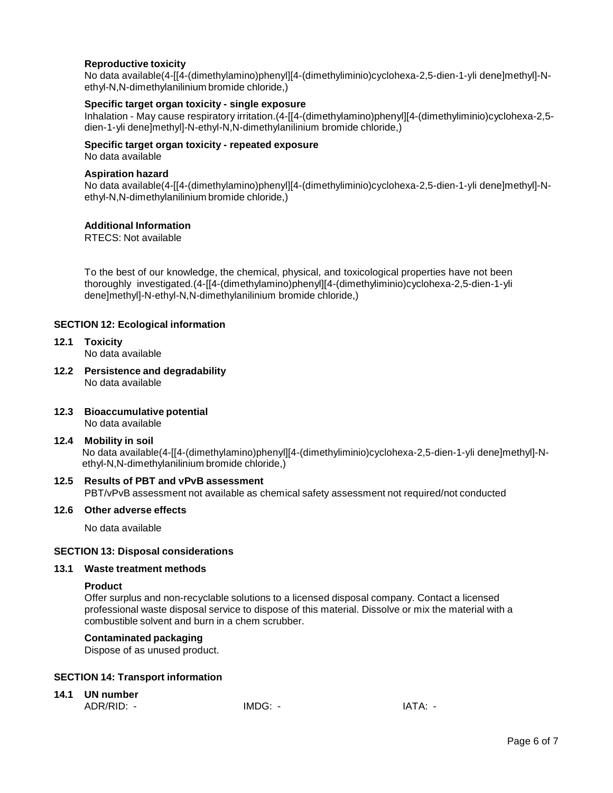# **Reproductive toxicity**

No data available(4-[[4-(dimethylamino)phenyl][4-(dimethyliminio)cyclohexa-2,5-dien-1-yli dene]methyl]-N ethyl-N,N-dimethylanilinium bromide chloride,)

# **Specific target organ toxicity - single exposure**

Inhalation - May cause respiratory irritation.(4-[[4-(dimethylamino)phenyl][4-(dimethyliminio)cyclohexa-2,5 dien-1-yli dene]methyl]-N-ethyl-N,N-dimethylanilinium bromide chloride,)

## **Specific target organ toxicity - repeated exposure**

No data available

## **Aspiration hazard**

No data available(4-[[4-(dimethylamino)phenyl][4-(dimethyliminio)cyclohexa-2,5-dien-1-yli dene]methyl]-N ethyl-N,N-dimethylanilinium bromide chloride,)

## **Additional Information**

RTECS: Not available

To the best of our knowledge, the chemical, physical, and toxicological properties have not been thoroughly investigated.(4-[[4-(dimethylamino)phenyl][4-(dimethyliminio)cyclohexa-2,5-dien-1-yli dene]methyl]-N-ethyl-N,N-dimethylanilinium bromide chloride,)

# **SECTION 12: Ecological information**

- **12.1 Toxicity** No data available
- **12.2 Persistence and degradability** No data available
- **12.3 Bioaccumulative potential** No data available
- **12.4 Mobility in soil** No data available(4-[[4-(dimethylamino)phenyl][4-(dimethyliminio)cyclohexa-2,5-dien-1-yli dene]methyl]-N ethyl-N,N-dimethylanilinium bromide chloride,)

# **12.5 Results of PBT and vPvB assessment**

PBT/vPvB assessment not available as chemical safety assessment not required/not conducted

## **12.6 Other adverse effects**

No data available

# **SECTION 13: Disposal considerations**

## **13.1 Waste treatment methods**

## **Product**

Offer surplus and non-recyclable solutions to a licensed disposal company. Contact a licensed professional waste disposal service to dispose of this material. Dissolve or mix the material with a combustible solvent and burn in a chem scrubber.

# **Contaminated packaging**

Dispose of as unused product.

# **SECTION 14: Transport information**

# **14.1 UN number**

ADR/RID: - IMDG: - IMDG: - IATA: -